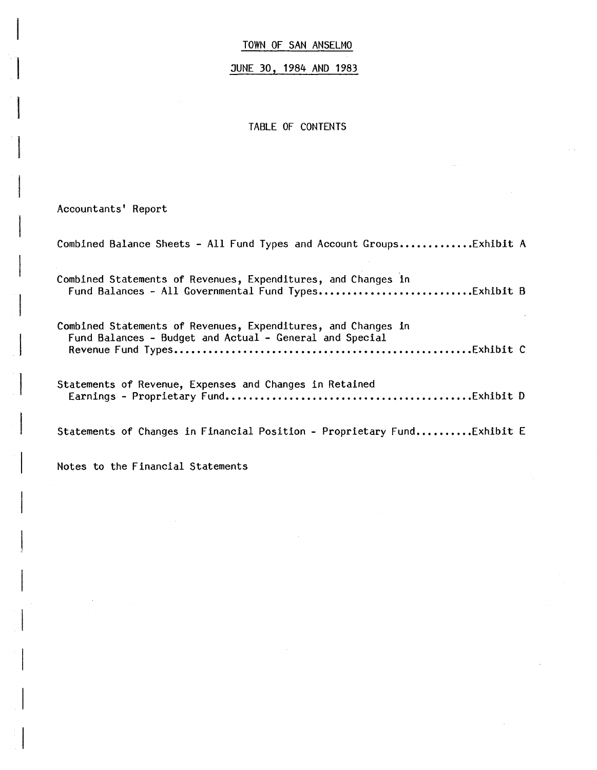JUNE 30, 1984 AND 1983

TABLE OF CONTENTS

Accountants' Report

Combined Balance Sheets - All Fund Types and Account Groups..............Exhibit A Combined Statements of Revenues, Expenditures, and Changes in Fund Balances - All Governmental Fund Types ••••••••••••••••••••••••••• Exhibit B Combined Statements of Revenues, Expenditures, and Changes in Fund Balances - Budget and Actual - General and Special **Revenue Fund Types ••.•••••••••••.••••••••••••••..••••••••....•.••••..• Exhibit C**  Statements of Revenue, Expenses and Changes in Retained Earnings - Proprietary Fund ••••••••••••••••••••••••••••••••••••••••••• Exhibit D Statements of Changes in Financial Position - Proprietary Fund..........Exhibit E

Notes to the Financial Statements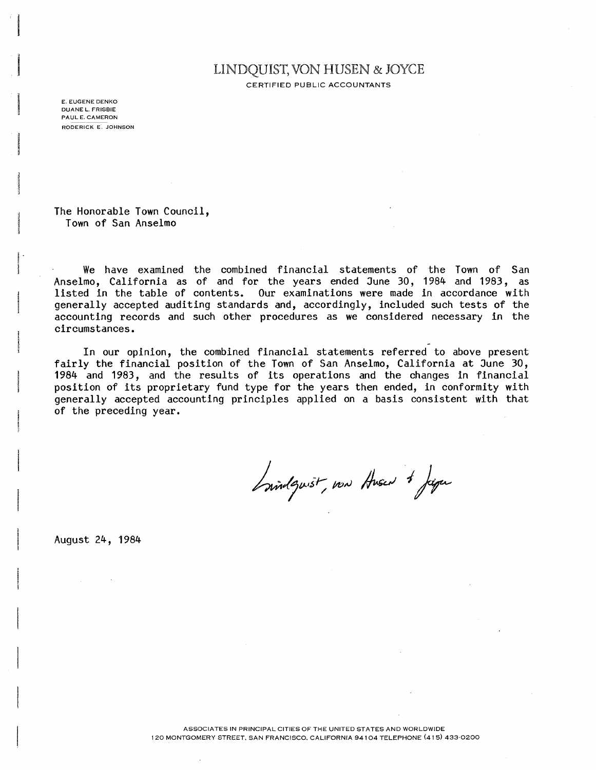# LINDQUIST, VON HUSEN & JOYCE

CERTIFIED PUBLIC ACCOUNTANTS

E. EUGENE DENKO DUANE L. FRISBIE PAUL E. CAMERON **RODERICK E. JOHNSON** 

 $\mathsf{L}$  .

**The Honorable Town Council, Town of San Anselmo** 

! **We have examined the combined financial statements of the Town of San Anselmo, California as of and for the years ended June 30,1984 and 1983, as listed in the table of contents. Our examinations were made in accordance with generally accepted auditing standards and, accordingly, included such tests of the accounting records and such other procedures as we considered necessary in the circumstances.** 

**In our opinion, the combined financial statements referred to above present fairly the financial position of the Town of San Anselmo, California at June 30, 1984 and 1983, and the results of its operations and the changes in financial position of its proprietary fund type for the years then ended, in conformity with generally accepted accounting principles applied on a basis consistent with that of the preceding year.** 

Invidents, now Answert Japan

**August 24, 1984**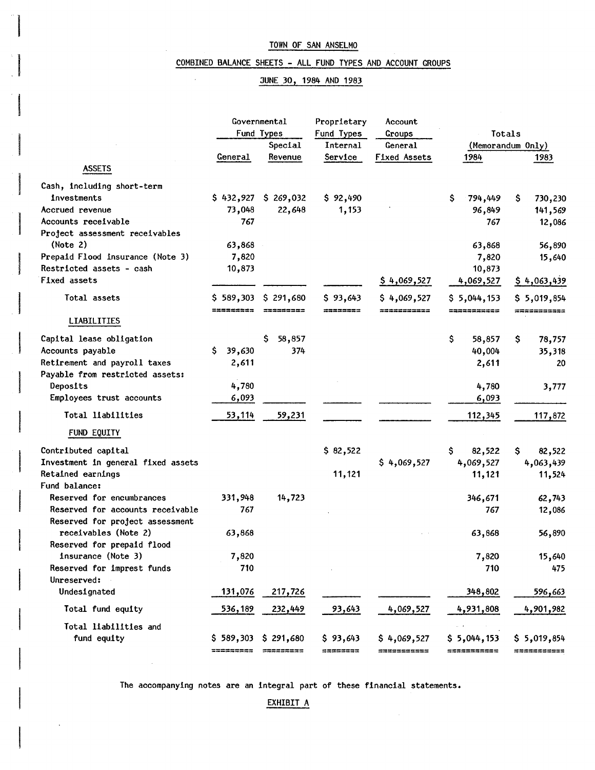#### COMBINED BALANCE SHEETS - ALL FUND TYPES AND ACCOUNT GROUPS

#### JUNE 30, 1984 AND 1983

| Fund Types<br>Fund Types<br>Totals<br>Groups<br>Special<br>Internal<br>General<br>(Memorandum Only)<br>Service<br><b>Fixed Assets</b><br>General<br>Revenue<br>1984<br>1983<br><b>ASSETS</b><br>Cash, including short-term<br>\$432,927\$3269,032<br>\$<br>investments<br>\$92,490<br>794,449<br>S.<br>730,230<br>73,048<br>22,648<br>1,153<br>Accrued revenue<br>96,849<br>141,569<br>767<br>Accounts receivable<br>767<br>12,086<br>Project assessment receivables<br>(Note 2)<br>63,868<br>63,868<br>56,890<br>Prepaid Flood insurance (Note 3)<br>7,820<br>7,820<br>15,640<br>Restricted assets - cash<br>10,873<br>10,873<br>Fixed assets<br>\$4,069,527<br>4,069,527<br>\$4,063,439<br>\$291,680<br>Total assets<br>\$589,303<br>\$93,643<br>\$4,069,527<br>\$5,044,153<br>\$5,019,854<br>==========<br>=========<br>========<br>===========<br>===========<br><b>**********</b> *<br><b>LIABILITIES</b><br>Capital lease obligation<br>S.<br>58,857<br>\$<br>58,857<br>\$<br>78,757<br>Ŝ.<br>39,630<br>374<br>Accounts payable<br>40,004<br>35,318<br>Retirement and payroll taxes<br>2,611<br>2,611<br>20<br>Payable from restricted assets:<br>4,780<br>Deposits<br>4,780<br>3,777<br>Employees trust accounts<br>6,093<br>6,093<br>Total liabilities<br>53,114<br>59,231<br>112,345<br>117,872<br>FUND EQUITY<br>\$82,522<br>Contributed capital<br>\$.<br>82,522<br>\$.<br>82,522<br>\$4,069,527<br>4,069,527<br>Investment in general fixed assets<br>4,063,439<br>Retained earnings<br>11,121<br>11,121<br>11,524<br>Fund balance:<br>Reserved for encumbrances<br>331,948<br>14,723<br>346,671<br>62,743<br>Reserved for accounts receivable<br>767<br>767<br>12,086<br>Reserved for project assessment<br>receivables (Note 2)<br>63,868<br>63,868<br>56,890<br>Reserved for prepaid flood<br>insurance (Note 3)<br>7,820<br>7,820<br>15,640<br>Reserved for imprest funds<br>710<br>710<br>475<br>Unreserved:<br>Undesignated<br>131,076<br>217,726<br>348,802<br>596,663<br>Total fund equity<br>232,449<br>93,643<br>4,069,527<br>4,931,808<br><u>536,189</u><br>4,901,982<br>Total liabilities and<br>\$93,643<br>fund equity<br>$$589,303$$ $$291,680$<br>\$4,069,527<br>\$5,044,153<br>\$5,019,854<br>=========<br>$\begin{array}{c} \textbf{1333351111} \end{array}$<br>========<br>===========<br>===========<br>=========== | Governmental |  | Proprietary | Account |  |  |  |  |
|-----------------------------------------------------------------------------------------------------------------------------------------------------------------------------------------------------------------------------------------------------------------------------------------------------------------------------------------------------------------------------------------------------------------------------------------------------------------------------------------------------------------------------------------------------------------------------------------------------------------------------------------------------------------------------------------------------------------------------------------------------------------------------------------------------------------------------------------------------------------------------------------------------------------------------------------------------------------------------------------------------------------------------------------------------------------------------------------------------------------------------------------------------------------------------------------------------------------------------------------------------------------------------------------------------------------------------------------------------------------------------------------------------------------------------------------------------------------------------------------------------------------------------------------------------------------------------------------------------------------------------------------------------------------------------------------------------------------------------------------------------------------------------------------------------------------------------------------------------------------------------------------------------------------------------------------------------------------------------------------------------------------------------------------------------------------------------------------------------------------------------------------------------------------------------------------------------------------------------------------------------------------------------------------------------------------------------------------------------|--------------|--|-------------|---------|--|--|--|--|
|                                                                                                                                                                                                                                                                                                                                                                                                                                                                                                                                                                                                                                                                                                                                                                                                                                                                                                                                                                                                                                                                                                                                                                                                                                                                                                                                                                                                                                                                                                                                                                                                                                                                                                                                                                                                                                                                                                                                                                                                                                                                                                                                                                                                                                                                                                                                                     |              |  |             |         |  |  |  |  |
|                                                                                                                                                                                                                                                                                                                                                                                                                                                                                                                                                                                                                                                                                                                                                                                                                                                                                                                                                                                                                                                                                                                                                                                                                                                                                                                                                                                                                                                                                                                                                                                                                                                                                                                                                                                                                                                                                                                                                                                                                                                                                                                                                                                                                                                                                                                                                     |              |  |             |         |  |  |  |  |
|                                                                                                                                                                                                                                                                                                                                                                                                                                                                                                                                                                                                                                                                                                                                                                                                                                                                                                                                                                                                                                                                                                                                                                                                                                                                                                                                                                                                                                                                                                                                                                                                                                                                                                                                                                                                                                                                                                                                                                                                                                                                                                                                                                                                                                                                                                                                                     |              |  |             |         |  |  |  |  |
|                                                                                                                                                                                                                                                                                                                                                                                                                                                                                                                                                                                                                                                                                                                                                                                                                                                                                                                                                                                                                                                                                                                                                                                                                                                                                                                                                                                                                                                                                                                                                                                                                                                                                                                                                                                                                                                                                                                                                                                                                                                                                                                                                                                                                                                                                                                                                     |              |  |             |         |  |  |  |  |
|                                                                                                                                                                                                                                                                                                                                                                                                                                                                                                                                                                                                                                                                                                                                                                                                                                                                                                                                                                                                                                                                                                                                                                                                                                                                                                                                                                                                                                                                                                                                                                                                                                                                                                                                                                                                                                                                                                                                                                                                                                                                                                                                                                                                                                                                                                                                                     |              |  |             |         |  |  |  |  |
|                                                                                                                                                                                                                                                                                                                                                                                                                                                                                                                                                                                                                                                                                                                                                                                                                                                                                                                                                                                                                                                                                                                                                                                                                                                                                                                                                                                                                                                                                                                                                                                                                                                                                                                                                                                                                                                                                                                                                                                                                                                                                                                                                                                                                                                                                                                                                     |              |  |             |         |  |  |  |  |
|                                                                                                                                                                                                                                                                                                                                                                                                                                                                                                                                                                                                                                                                                                                                                                                                                                                                                                                                                                                                                                                                                                                                                                                                                                                                                                                                                                                                                                                                                                                                                                                                                                                                                                                                                                                                                                                                                                                                                                                                                                                                                                                                                                                                                                                                                                                                                     |              |  |             |         |  |  |  |  |
|                                                                                                                                                                                                                                                                                                                                                                                                                                                                                                                                                                                                                                                                                                                                                                                                                                                                                                                                                                                                                                                                                                                                                                                                                                                                                                                                                                                                                                                                                                                                                                                                                                                                                                                                                                                                                                                                                                                                                                                                                                                                                                                                                                                                                                                                                                                                                     |              |  |             |         |  |  |  |  |
|                                                                                                                                                                                                                                                                                                                                                                                                                                                                                                                                                                                                                                                                                                                                                                                                                                                                                                                                                                                                                                                                                                                                                                                                                                                                                                                                                                                                                                                                                                                                                                                                                                                                                                                                                                                                                                                                                                                                                                                                                                                                                                                                                                                                                                                                                                                                                     |              |  |             |         |  |  |  |  |
|                                                                                                                                                                                                                                                                                                                                                                                                                                                                                                                                                                                                                                                                                                                                                                                                                                                                                                                                                                                                                                                                                                                                                                                                                                                                                                                                                                                                                                                                                                                                                                                                                                                                                                                                                                                                                                                                                                                                                                                                                                                                                                                                                                                                                                                                                                                                                     |              |  |             |         |  |  |  |  |
|                                                                                                                                                                                                                                                                                                                                                                                                                                                                                                                                                                                                                                                                                                                                                                                                                                                                                                                                                                                                                                                                                                                                                                                                                                                                                                                                                                                                                                                                                                                                                                                                                                                                                                                                                                                                                                                                                                                                                                                                                                                                                                                                                                                                                                                                                                                                                     |              |  |             |         |  |  |  |  |
|                                                                                                                                                                                                                                                                                                                                                                                                                                                                                                                                                                                                                                                                                                                                                                                                                                                                                                                                                                                                                                                                                                                                                                                                                                                                                                                                                                                                                                                                                                                                                                                                                                                                                                                                                                                                                                                                                                                                                                                                                                                                                                                                                                                                                                                                                                                                                     |              |  |             |         |  |  |  |  |
|                                                                                                                                                                                                                                                                                                                                                                                                                                                                                                                                                                                                                                                                                                                                                                                                                                                                                                                                                                                                                                                                                                                                                                                                                                                                                                                                                                                                                                                                                                                                                                                                                                                                                                                                                                                                                                                                                                                                                                                                                                                                                                                                                                                                                                                                                                                                                     |              |  |             |         |  |  |  |  |
|                                                                                                                                                                                                                                                                                                                                                                                                                                                                                                                                                                                                                                                                                                                                                                                                                                                                                                                                                                                                                                                                                                                                                                                                                                                                                                                                                                                                                                                                                                                                                                                                                                                                                                                                                                                                                                                                                                                                                                                                                                                                                                                                                                                                                                                                                                                                                     |              |  |             |         |  |  |  |  |
|                                                                                                                                                                                                                                                                                                                                                                                                                                                                                                                                                                                                                                                                                                                                                                                                                                                                                                                                                                                                                                                                                                                                                                                                                                                                                                                                                                                                                                                                                                                                                                                                                                                                                                                                                                                                                                                                                                                                                                                                                                                                                                                                                                                                                                                                                                                                                     |              |  |             |         |  |  |  |  |
|                                                                                                                                                                                                                                                                                                                                                                                                                                                                                                                                                                                                                                                                                                                                                                                                                                                                                                                                                                                                                                                                                                                                                                                                                                                                                                                                                                                                                                                                                                                                                                                                                                                                                                                                                                                                                                                                                                                                                                                                                                                                                                                                                                                                                                                                                                                                                     |              |  |             |         |  |  |  |  |
|                                                                                                                                                                                                                                                                                                                                                                                                                                                                                                                                                                                                                                                                                                                                                                                                                                                                                                                                                                                                                                                                                                                                                                                                                                                                                                                                                                                                                                                                                                                                                                                                                                                                                                                                                                                                                                                                                                                                                                                                                                                                                                                                                                                                                                                                                                                                                     |              |  |             |         |  |  |  |  |
|                                                                                                                                                                                                                                                                                                                                                                                                                                                                                                                                                                                                                                                                                                                                                                                                                                                                                                                                                                                                                                                                                                                                                                                                                                                                                                                                                                                                                                                                                                                                                                                                                                                                                                                                                                                                                                                                                                                                                                                                                                                                                                                                                                                                                                                                                                                                                     |              |  |             |         |  |  |  |  |
|                                                                                                                                                                                                                                                                                                                                                                                                                                                                                                                                                                                                                                                                                                                                                                                                                                                                                                                                                                                                                                                                                                                                                                                                                                                                                                                                                                                                                                                                                                                                                                                                                                                                                                                                                                                                                                                                                                                                                                                                                                                                                                                                                                                                                                                                                                                                                     |              |  |             |         |  |  |  |  |
|                                                                                                                                                                                                                                                                                                                                                                                                                                                                                                                                                                                                                                                                                                                                                                                                                                                                                                                                                                                                                                                                                                                                                                                                                                                                                                                                                                                                                                                                                                                                                                                                                                                                                                                                                                                                                                                                                                                                                                                                                                                                                                                                                                                                                                                                                                                                                     |              |  |             |         |  |  |  |  |
|                                                                                                                                                                                                                                                                                                                                                                                                                                                                                                                                                                                                                                                                                                                                                                                                                                                                                                                                                                                                                                                                                                                                                                                                                                                                                                                                                                                                                                                                                                                                                                                                                                                                                                                                                                                                                                                                                                                                                                                                                                                                                                                                                                                                                                                                                                                                                     |              |  |             |         |  |  |  |  |
|                                                                                                                                                                                                                                                                                                                                                                                                                                                                                                                                                                                                                                                                                                                                                                                                                                                                                                                                                                                                                                                                                                                                                                                                                                                                                                                                                                                                                                                                                                                                                                                                                                                                                                                                                                                                                                                                                                                                                                                                                                                                                                                                                                                                                                                                                                                                                     |              |  |             |         |  |  |  |  |
|                                                                                                                                                                                                                                                                                                                                                                                                                                                                                                                                                                                                                                                                                                                                                                                                                                                                                                                                                                                                                                                                                                                                                                                                                                                                                                                                                                                                                                                                                                                                                                                                                                                                                                                                                                                                                                                                                                                                                                                                                                                                                                                                                                                                                                                                                                                                                     |              |  |             |         |  |  |  |  |
|                                                                                                                                                                                                                                                                                                                                                                                                                                                                                                                                                                                                                                                                                                                                                                                                                                                                                                                                                                                                                                                                                                                                                                                                                                                                                                                                                                                                                                                                                                                                                                                                                                                                                                                                                                                                                                                                                                                                                                                                                                                                                                                                                                                                                                                                                                                                                     |              |  |             |         |  |  |  |  |
|                                                                                                                                                                                                                                                                                                                                                                                                                                                                                                                                                                                                                                                                                                                                                                                                                                                                                                                                                                                                                                                                                                                                                                                                                                                                                                                                                                                                                                                                                                                                                                                                                                                                                                                                                                                                                                                                                                                                                                                                                                                                                                                                                                                                                                                                                                                                                     |              |  |             |         |  |  |  |  |
|                                                                                                                                                                                                                                                                                                                                                                                                                                                                                                                                                                                                                                                                                                                                                                                                                                                                                                                                                                                                                                                                                                                                                                                                                                                                                                                                                                                                                                                                                                                                                                                                                                                                                                                                                                                                                                                                                                                                                                                                                                                                                                                                                                                                                                                                                                                                                     |              |  |             |         |  |  |  |  |
|                                                                                                                                                                                                                                                                                                                                                                                                                                                                                                                                                                                                                                                                                                                                                                                                                                                                                                                                                                                                                                                                                                                                                                                                                                                                                                                                                                                                                                                                                                                                                                                                                                                                                                                                                                                                                                                                                                                                                                                                                                                                                                                                                                                                                                                                                                                                                     |              |  |             |         |  |  |  |  |
|                                                                                                                                                                                                                                                                                                                                                                                                                                                                                                                                                                                                                                                                                                                                                                                                                                                                                                                                                                                                                                                                                                                                                                                                                                                                                                                                                                                                                                                                                                                                                                                                                                                                                                                                                                                                                                                                                                                                                                                                                                                                                                                                                                                                                                                                                                                                                     |              |  |             |         |  |  |  |  |
|                                                                                                                                                                                                                                                                                                                                                                                                                                                                                                                                                                                                                                                                                                                                                                                                                                                                                                                                                                                                                                                                                                                                                                                                                                                                                                                                                                                                                                                                                                                                                                                                                                                                                                                                                                                                                                                                                                                                                                                                                                                                                                                                                                                                                                                                                                                                                     |              |  |             |         |  |  |  |  |
|                                                                                                                                                                                                                                                                                                                                                                                                                                                                                                                                                                                                                                                                                                                                                                                                                                                                                                                                                                                                                                                                                                                                                                                                                                                                                                                                                                                                                                                                                                                                                                                                                                                                                                                                                                                                                                                                                                                                                                                                                                                                                                                                                                                                                                                                                                                                                     |              |  |             |         |  |  |  |  |
|                                                                                                                                                                                                                                                                                                                                                                                                                                                                                                                                                                                                                                                                                                                                                                                                                                                                                                                                                                                                                                                                                                                                                                                                                                                                                                                                                                                                                                                                                                                                                                                                                                                                                                                                                                                                                                                                                                                                                                                                                                                                                                                                                                                                                                                                                                                                                     |              |  |             |         |  |  |  |  |
|                                                                                                                                                                                                                                                                                                                                                                                                                                                                                                                                                                                                                                                                                                                                                                                                                                                                                                                                                                                                                                                                                                                                                                                                                                                                                                                                                                                                                                                                                                                                                                                                                                                                                                                                                                                                                                                                                                                                                                                                                                                                                                                                                                                                                                                                                                                                                     |              |  |             |         |  |  |  |  |
|                                                                                                                                                                                                                                                                                                                                                                                                                                                                                                                                                                                                                                                                                                                                                                                                                                                                                                                                                                                                                                                                                                                                                                                                                                                                                                                                                                                                                                                                                                                                                                                                                                                                                                                                                                                                                                                                                                                                                                                                                                                                                                                                                                                                                                                                                                                                                     |              |  |             |         |  |  |  |  |
|                                                                                                                                                                                                                                                                                                                                                                                                                                                                                                                                                                                                                                                                                                                                                                                                                                                                                                                                                                                                                                                                                                                                                                                                                                                                                                                                                                                                                                                                                                                                                                                                                                                                                                                                                                                                                                                                                                                                                                                                                                                                                                                                                                                                                                                                                                                                                     |              |  |             |         |  |  |  |  |
|                                                                                                                                                                                                                                                                                                                                                                                                                                                                                                                                                                                                                                                                                                                                                                                                                                                                                                                                                                                                                                                                                                                                                                                                                                                                                                                                                                                                                                                                                                                                                                                                                                                                                                                                                                                                                                                                                                                                                                                                                                                                                                                                                                                                                                                                                                                                                     |              |  |             |         |  |  |  |  |
|                                                                                                                                                                                                                                                                                                                                                                                                                                                                                                                                                                                                                                                                                                                                                                                                                                                                                                                                                                                                                                                                                                                                                                                                                                                                                                                                                                                                                                                                                                                                                                                                                                                                                                                                                                                                                                                                                                                                                                                                                                                                                                                                                                                                                                                                                                                                                     |              |  |             |         |  |  |  |  |
|                                                                                                                                                                                                                                                                                                                                                                                                                                                                                                                                                                                                                                                                                                                                                                                                                                                                                                                                                                                                                                                                                                                                                                                                                                                                                                                                                                                                                                                                                                                                                                                                                                                                                                                                                                                                                                                                                                                                                                                                                                                                                                                                                                                                                                                                                                                                                     |              |  |             |         |  |  |  |  |
|                                                                                                                                                                                                                                                                                                                                                                                                                                                                                                                                                                                                                                                                                                                                                                                                                                                                                                                                                                                                                                                                                                                                                                                                                                                                                                                                                                                                                                                                                                                                                                                                                                                                                                                                                                                                                                                                                                                                                                                                                                                                                                                                                                                                                                                                                                                                                     |              |  |             |         |  |  |  |  |
|                                                                                                                                                                                                                                                                                                                                                                                                                                                                                                                                                                                                                                                                                                                                                                                                                                                                                                                                                                                                                                                                                                                                                                                                                                                                                                                                                                                                                                                                                                                                                                                                                                                                                                                                                                                                                                                                                                                                                                                                                                                                                                                                                                                                                                                                                                                                                     |              |  |             |         |  |  |  |  |
|                                                                                                                                                                                                                                                                                                                                                                                                                                                                                                                                                                                                                                                                                                                                                                                                                                                                                                                                                                                                                                                                                                                                                                                                                                                                                                                                                                                                                                                                                                                                                                                                                                                                                                                                                                                                                                                                                                                                                                                                                                                                                                                                                                                                                                                                                                                                                     |              |  |             |         |  |  |  |  |
|                                                                                                                                                                                                                                                                                                                                                                                                                                                                                                                                                                                                                                                                                                                                                                                                                                                                                                                                                                                                                                                                                                                                                                                                                                                                                                                                                                                                                                                                                                                                                                                                                                                                                                                                                                                                                                                                                                                                                                                                                                                                                                                                                                                                                                                                                                                                                     |              |  |             |         |  |  |  |  |
|                                                                                                                                                                                                                                                                                                                                                                                                                                                                                                                                                                                                                                                                                                                                                                                                                                                                                                                                                                                                                                                                                                                                                                                                                                                                                                                                                                                                                                                                                                                                                                                                                                                                                                                                                                                                                                                                                                                                                                                                                                                                                                                                                                                                                                                                                                                                                     |              |  |             |         |  |  |  |  |
|                                                                                                                                                                                                                                                                                                                                                                                                                                                                                                                                                                                                                                                                                                                                                                                                                                                                                                                                                                                                                                                                                                                                                                                                                                                                                                                                                                                                                                                                                                                                                                                                                                                                                                                                                                                                                                                                                                                                                                                                                                                                                                                                                                                                                                                                                                                                                     |              |  |             |         |  |  |  |  |
|                                                                                                                                                                                                                                                                                                                                                                                                                                                                                                                                                                                                                                                                                                                                                                                                                                                                                                                                                                                                                                                                                                                                                                                                                                                                                                                                                                                                                                                                                                                                                                                                                                                                                                                                                                                                                                                                                                                                                                                                                                                                                                                                                                                                                                                                                                                                                     |              |  |             |         |  |  |  |  |

The accompanying notes are an integral part of these financial statements.

 $\mathcal{A}$ 

EXHIBIT A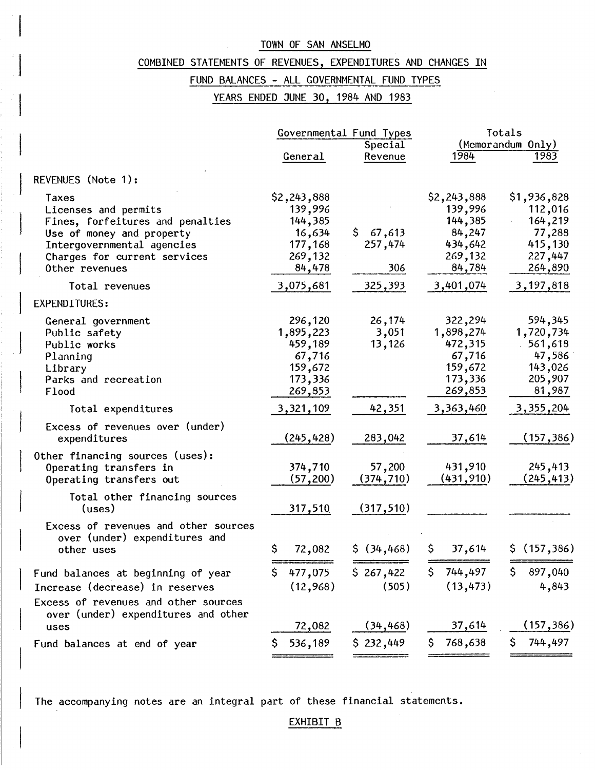## COMBINED STATEMENTS OF REVENUES, EXPENDITURES AND CHANGES IN

I

 $\mathbf{I}$ 

### FUND BALANCES - ALL GOVERNMENTAL FUND TYPES

YEARS ENDED JUNE 30, 1984 AND 1983

|                                                                                      |                                 | Governmental Fund Types   | Totals                          |                                  |  |  |
|--------------------------------------------------------------------------------------|---------------------------------|---------------------------|---------------------------------|----------------------------------|--|--|
|                                                                                      |                                 | Special                   |                                 | (Memorandum Only)                |  |  |
|                                                                                      | General                         | Revenue                   | 1984                            | 1983                             |  |  |
| REVENUES (Note 1):                                                                   |                                 |                           |                                 |                                  |  |  |
| Taxes<br>Licenses and permits                                                        | \$2,243,888<br>139,996          |                           | \$2,243,888<br>139,996          | \$1,936,828<br>112,016           |  |  |
| Fines, forfeitures and penalties<br>Use of money and property                        | 144,385<br>16,634               | \$.<br>67,613             | 144,385<br>84,247               | 164,219<br>77,288                |  |  |
| Intergovernmental agencies<br>Charges for current services                           | 177,168<br>269,132              | 257,474                   | 434,642<br>269,132              | 415,130<br>227,447               |  |  |
| Other revenues                                                                       | 84,478                          | 306                       | 84,784                          | 264,890                          |  |  |
| Total revenues                                                                       | 3,075,681                       | 325,393                   | 3,401,074                       | 3,197,818                        |  |  |
| <b>EXPENDITURES:</b>                                                                 |                                 |                           |                                 |                                  |  |  |
| General government<br>Public safety<br>Public works                                  | 296,120<br>1,895,223<br>459,189 | 26,174<br>3,051<br>13,126 | 322,294<br>1,898,274<br>472,315 | 594,345<br>1,720,734<br>.561,618 |  |  |
| Planning<br>Library                                                                  | 67,716<br>159,672               |                           | 67,716<br>159,672               | 47,586<br>143,026                |  |  |
| Parks and recreation<br>Flood                                                        | 173,336<br>269,853              |                           | 173,336<br>269,853              | 205,907<br>81,987                |  |  |
| Total expenditures                                                                   | 3,321,109                       | 42,351                    | 3,363,460                       | 3,355,204                        |  |  |
| Excess of revenues over (under)<br>expenditures                                      | (245, 428)                      | 283,042                   | 37,614                          | (157, 386)                       |  |  |
| Other financing sources (uses):<br>Operating transfers in<br>Operating transfers out | 374,710<br>(57, 200)            | 57,200<br>(374, 710)      | 431,910<br>(431, 910)           | 245,413<br>(245, 413)            |  |  |
| Total other financing sources<br>(uses)                                              | 317,510                         | (317, 510)                |                                 |                                  |  |  |
| Excess of revenues and other sources<br>over (under) expenditures and<br>other uses  | \$<br>72,082                    | \$ (34, 468)              | 37,614<br>Ş.                    | \$(157, 386)                     |  |  |
| Fund balances at beginning of year                                                   | 477,075<br>S                    | \$267,422                 | 744,497<br>\$.                  | 897,040<br>Ş.                    |  |  |
| Increase (decrease) in reserves                                                      | (12, 968)                       | (505)                     | (13, 473)                       | 4,843                            |  |  |
| Excess of revenues and other sources<br>over (under) expenditures and other          |                                 |                           |                                 |                                  |  |  |
| uses                                                                                 | 72,082                          | (34, 468)                 | 37,614                          | (157, 386)                       |  |  |
| Fund balances at end of year                                                         | 536,189                         | \$232,449                 | 768,638<br>S.                   | 744,497<br>\$                    |  |  |

The accompanying notes are an integral part of these financial statements.

#### EXHIBIT B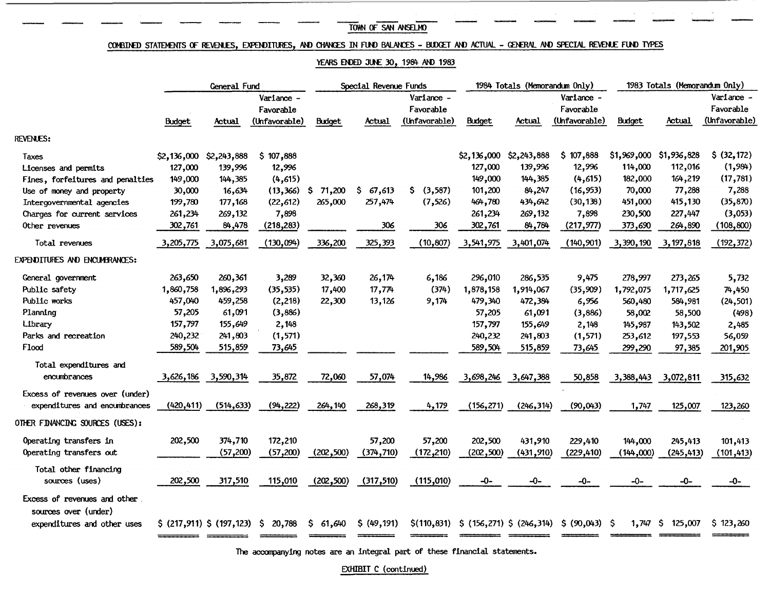### $\frac{100 \text{ m of } 5 \text{ m of } 5 \text{ m of } 5 \text{ m of } 5 \text{ m of } 5 \text{ m of } 5 \text{ m of } 5 \text{ m of } 5 \text{ m of } 5 \text{ m of } 5 \text{ m of } 5 \text{ m of } 5 \text{ m of } 5 \text{ m of } 5 \text{ m of } 5 \text{ m of } 5 \text{ m of } 5 \text{ m of } 5 \text{ m of } 5 \text{ m of } 5 \text{ m of } 5 \text{ m of } 5 \text{ m of } 5 \text{ m of } 5 \text{ m of } 5 \text{ m of } 5 \text{ m of }$ TOWN OF SAN ANSELMO

### COMBINED STATEMENTS OF REVENLES, EXPENDITURES, AND CHANGES IN FUND BALANCES - BUDGET AND ACTUAL - GENERAL AND SPECIAL REVENLE FUND TYPES

#### YEARS ENDED JUNE 30, 1984 AND 1983

|                                                      | General Fund  |                             |                         | Special Revenue Funds |             |                         | 1984 Totals (Memorandum Only) |             |                                         | 1983 Totals (Memorandum Only) |             |                         |
|------------------------------------------------------|---------------|-----------------------------|-------------------------|-----------------------|-------------|-------------------------|-------------------------------|-------------|-----------------------------------------|-------------------------------|-------------|-------------------------|
|                                                      |               |                             | Variance -<br>Favorable |                       |             | Variance -<br>Favorable |                               |             | Variance -<br>Favorable                 |                               |             | Variance -<br>Favorable |
|                                                      | <b>Budget</b> | Actual                      | (Unfavorable)           | <b>Budget</b>         | Actual      | (Unfavorable)           | Budget                        | Actual      | (Unfavorable)                           | <b>Budget</b>                 | Actual      | (Unfavorable)           |
| <b>REVENUES:</b>                                     |               |                             |                         |                       |             |                         |                               |             |                                         |                               |             |                         |
| Taxes                                                | \$2,136,000   | \$2,243,888                 | 107,888<br>\$           |                       |             |                         | \$2,136,000                   | \$2,243,888 | \$107,888                               | \$1,969,000                   | \$1,936,828 | \$ (32, 172)            |
| Licenses and permits                                 | 127,000       | 139,996                     | 12,996                  |                       |             |                         | 127,000                       | 139,996     | 12,996                                  | 114,000                       | 112,016     | (1,984)                 |
| Fines, forfeitures and penalties                     | 149,000       | 144,385                     | (4,615)                 |                       |             |                         | 149,000                       | 144,385     | (4, 615)                                | 182,000                       | 164,219     | (17, 781)               |
| Use of money and property                            | 30,000        | 16,634                      | (13, 366)               | 71,200<br>-S          | \$67,613    | \$ (3,587)              | 101,200                       | 84,247      | (16, 953)                               | 70,000                        | 77,288      | 7,288                   |
| Intergovernmental agencies                           | 199,780       | 177,168                     | (22, 612)               | 265,000               | 257,474     | (7,526)                 | 464,780                       | 434,642     | (30, 138)                               | 451,000                       | 415,130     | (35, 870)               |
| Charges for current services                         | 261,234       | 269,132                     | 7,898                   |                       |             |                         | 261,234                       | 269,132     | 7,898                                   | 230,500                       | 227,447     | (3,053)                 |
| Other revenues                                       | 302,761       | 84,478                      | (218, 283)              |                       | 306         | 306                     | 302,761                       | 84,784      | (217, 977)                              | 373,690                       | 264,890     | (108, 800)              |
| Total revenues                                       | 3,205,775     | 3,075,681                   | (130,094)               | 336,200               | 325,393     | (10, 807)               | 3,541,975                     | 3,401,074   | (140, 901)                              | 3,390,190                     | 3, 197, 818 | (192, 372)              |
| EXPENDITURES AND ENCUMBRANCES:                       |               |                             |                         |                       |             |                         |                               |             |                                         |                               |             |                         |
| General government                                   | 263,650       | 260,361                     | 3,289                   | 32,360                | 26,174      | 6,186                   | 296,010                       | 286,535     | 9,475                                   | 278,997                       | 273,265     | 5,732                   |
| Public safety                                        | 1,860,758     | 1,896,293                   | (35, 535)               | 17,400                | 17,774      | (374)                   | 1,878,158                     | 1,914,067   | (35,909)                                | 1,792,075                     | 1,717,625   | 74,450                  |
| Public works                                         | 457,040       | 459,258                     | (2,218)                 | 22,300                | 13,126      | 9,174                   | 479,340                       | 472,384     | 6,956                                   | 560,480                       | 584,981     | (24, 501)               |
| Planning                                             | 57,205        | 61,091                      | (3,886)                 |                       |             |                         | 57,205                        | 61,091      | (3,886)                                 | 58,002                        | 58,500      | (498)                   |
| Library                                              | 157,797       | 155,649                     | 2,148                   |                       |             |                         | 157,797                       | 155,649     | 2,148                                   | 145,987                       | 143,502     | 2,485                   |
| Parks and recreation                                 | 240,232       | 241,803                     | (1, 571)                |                       |             |                         | 240,232                       | 241,803     | (1, 571)                                | 253,612                       | 197,553     | 56,059                  |
| Flood                                                | 589,504       | 515,859                     | 73,645                  |                       |             |                         | 589,504                       | 515,859     | 73,645                                  | 299,290                       | 97,385      | 201,905                 |
| Total expenditures and                               |               |                             |                         |                       |             |                         |                               |             |                                         |                               |             |                         |
| encumbrances                                         | 3,626,186     | 3,590,314                   | 35,872                  | 72,060                | 57,074      | 14,986                  | 3,698,246                     | 3,647,388   | 50,858                                  | 3,388,443                     | 3,072,811   | 315,632                 |
| Excess of revenues over (under)                      |               |                             |                         |                       |             |                         |                               |             |                                         |                               |             |                         |
| expenditures and encumbrances                        | (420, 411)    | (514, 633)                  | (94, 222)               | 264,140               | 268,319     | 4,179                   | (156, 271)                    | (246, 314)  | (90, 043)                               | 1,747                         | 125,007     | 123,260                 |
| OTHER FINANCING SOURCES (USES):                      |               |                             |                         |                       |             |                         |                               |             |                                         |                               |             |                         |
| Operating transfers in                               | 202,500       | 374,710                     | 172,210                 |                       | 57,200      | 57,200                  | 202,500                       | 431,910     | 229,410                                 | 144,000                       | 245,413     | 101,413                 |
| Operating transfers out                              |               | (57, 200)                   | (57,200)                | (202,500)             | (374, 710)  | (172, 210)              | (202, 500)                    | (431,910)   | (229, 410)                              | (144,000)                     | (245, 413)  | (101, 413)              |
| Total other financing                                |               |                             |                         |                       |             |                         |                               |             |                                         |                               |             |                         |
| sources (uses)                                       | 202,500       | 317,510                     | 115,010                 | (202, 500)            | (317,510)   | (115,010)               | $-0-$                         | -0-         | -0-                                     | -0-                           | $-0-$       | -0-                     |
| Excess of revenues and other<br>sources over (under) |               |                             |                         |                       |             |                         |                               |             |                                         |                               |             |                         |
| expenditures and other uses                          |               | $$$ (217,911) $$$ (197,123) | 20,788<br>-S            | 61,640<br>S.          | \$ (49,191) | \$(110, 831)            |                               |             | \$(156,271) \$ (246,314) \$ (90,043) \$ | $1,747$ \$                    | 125,007     | \$123,260               |
|                                                      |               |                             |                         |                       |             |                         |                               |             |                                         |                               |             |                         |

The accompanying notes are an integral part of these financial statements.

EXHIBIT C (continued)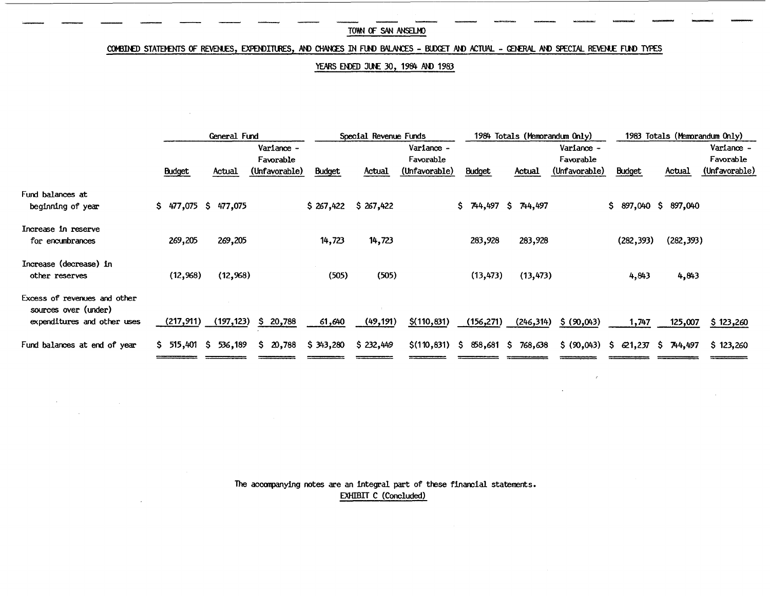### COMBINED STATEMENTS OF REVENLES, EXPENDITURES, AND CHANGES IN FUND BALANCES - BLDGET AND ACTUAL - GENERAL AND SPECIAL REVENLE FUND TYPES

### YEARS ENDED JUNE 30, 1984 AND 1983

|                                                                                     |                        | General Fund       |                                          |                       | Special Revenue Funds |                                          |               | 1984 Totals (Memorandum Only) |                                          |                       | 1983 Totals (Memorandum Only) |                                          |
|-------------------------------------------------------------------------------------|------------------------|--------------------|------------------------------------------|-----------------------|-----------------------|------------------------------------------|---------------|-------------------------------|------------------------------------------|-----------------------|-------------------------------|------------------------------------------|
|                                                                                     | <b>Budget</b>          | Actual             | Variance -<br>Favorable<br>(Unfavorable) | Budget                | Actual                | Variance -<br>Favorable<br>(Unfavorable) | <b>Budget</b> | Actual                        | Variance -<br>Favorable<br>(Unfavorable) | <b>Budget</b>         | Actual                        | Variance -<br>Favorable<br>(Unfavorable) |
| Fund balances at<br>beginning of year                                               | S.                     | 477,075 \$ 477,075 |                                          | \$267,422             | \$267,422             |                                          | \$744,497     | \$744,497                     |                                          | \$ 897,040 \$ 897,040 |                               |                                          |
| Increase in reserve<br>for encumbrances                                             | 269,205                | 269,205            |                                          | 14,723                | 14,723                |                                          | 283,928       | 283,928                       |                                          | (282, 393)            | (282, 393)                    |                                          |
| Increase (decrease) in<br>other reserves                                            | (12,968)               | (12,968)           |                                          | (505)                 | (505)                 |                                          | (13, 473)     | (13, 473)                     |                                          | 4,843                 | 4,843                         |                                          |
| Excess of revenues and other<br>sources over (under)<br>expenditures and other uses | (217,911)              | (197, 123)         | \$20,788                                 | 61,640                | (49, 191)             | \$(110, 831)                             | (156, 271)    | (246, 314)                    | \$ (90,043)                              | 1,747                 | 125,007                       | \$123,260                                |
| Fund balances at end of year                                                        | $$515,401$$ $$536,189$ |                    | \$20,788                                 | $$343,280$ $$232,449$ |                       | $$(110,831)$ \$ 858,681 \$ 768,638       |               |                               | \$ (90,043) \$ & 621,237 \$ & 744,497    |                       |                               | \$123,260                                |

The acoonpanying notes are an integral part of these financial statements. EXHIBIT C (Concluded)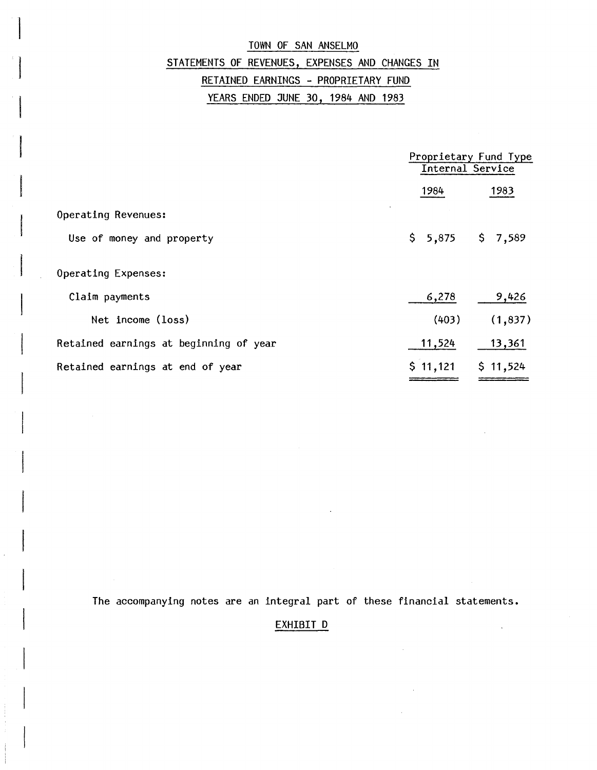## TOWN OF SAN ANSELMO STATEMENTS OF REVENUES, EXPENSES AND CHANGES IN RETAINED EARNINGS - PROPRIETARY FUND

YEARS ENDED JUNE 30, 1984 AND 1983

|                                        |                     | Proprietary Fund Type<br>Internal Service |  |  |  |
|----------------------------------------|---------------------|-------------------------------------------|--|--|--|
|                                        | 1984                | 1983                                      |  |  |  |
| Operating Revenues:                    |                     |                                           |  |  |  |
| Use of money and property              | $$5,875$ $$7,589$   |                                           |  |  |  |
| Operating Expenses:                    |                     |                                           |  |  |  |
| Claim payments                         | 6,278               | 9,426                                     |  |  |  |
| Net income (loss)                      | (403)               | (1, 837)                                  |  |  |  |
| Retained earnings at beginning of year | 11,524              | 13,361                                    |  |  |  |
| Retained earnings at end of year       | $$11,121$ $$11,524$ |                                           |  |  |  |

The accompanying notes are an integral part of these financial statements.

## EXHIBIT D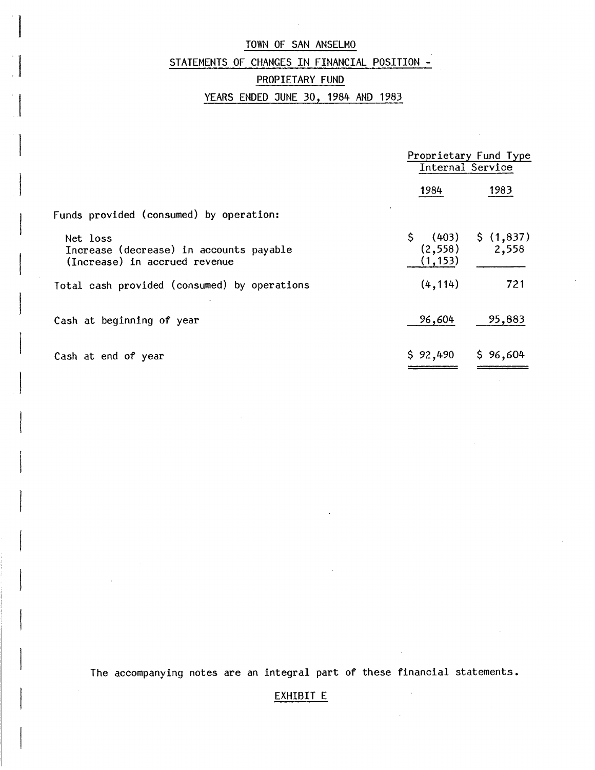## STATEMENTS OF CHANGES IN FINANCIAL POSITION -

### PROPIETARY FUND

## YEARS ENDED JUNE 30, 1984 AND 1983

|                                                                                      | Proprietary Fund Type<br>Internal Service   |                    |  |  |
|--------------------------------------------------------------------------------------|---------------------------------------------|--------------------|--|--|
|                                                                                      | 1984                                        | 1983               |  |  |
| Funds provided (consumed) by operation:                                              |                                             |                    |  |  |
| Net loss<br>Increase (decrease) in accounts payable<br>(Increase) in accrued revenue | $\frac{1}{2}$ (403)<br>(2, 558)<br>(1, 153) | \$(1,837)<br>2,558 |  |  |
| Total cash provided (consumed) by operations                                         | (4, 114)                                    | 721                |  |  |
| Cash at beginning of year                                                            | 96,604                                      | 95,883             |  |  |
| Cash at end of year                                                                  | \$92,490                                    | \$96,604           |  |  |

The accompanying notes are an integral part of these financial statements.

## EXHIBIT E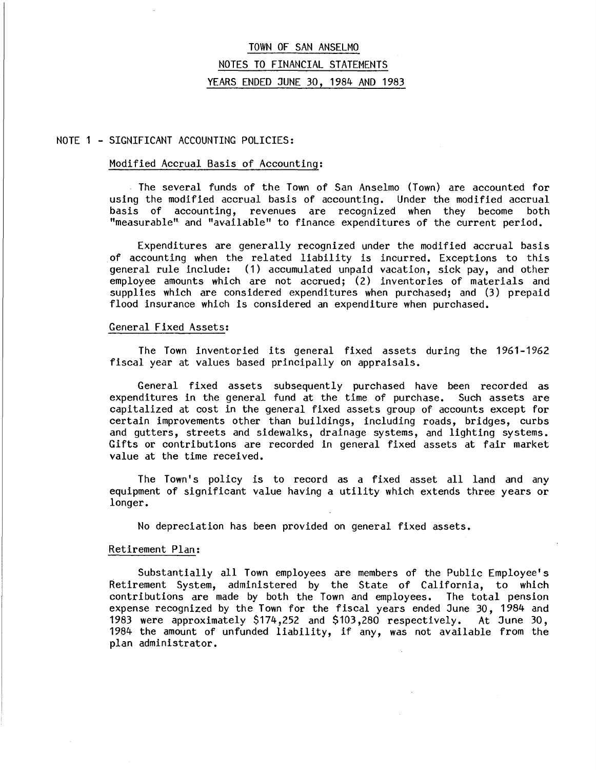## TOWN OF SAN ANSELMO NOTES TO FINANCIAL STATEMENTS YEARS ENDED JUNE 30, 1984 AND 1983

#### NOTE 1 - SIGNIFICANT ACCOUNTING POLICIES:

#### Modified Accrual Basis of Accounting:

The several funds of the Town of San Anselmo (Town) are accounted for .<br>ng the modified accrual basis of accounting. Under the modified accrual using the modified accrual basis of accounting. basis of accounting, revenues are recognized when they become both "measurable" and "available" to finance expenditures of the current period.

Expenditures are generally recognized under the modified accrual basis of accounting when the related liability is incurred. Exceptions to this general rule include: (1) accumulated unpaid vacation, sick pay, and other employee amounts which are not accrued; (2) inventories of materials and supplies which are considered expenditures when purchased; and (3) prepaid flood insurance which is considered an expenditure when purchased.

#### General Fixed Assets:

The Town inventoried its general fixed assets during the 1961-1962 fiscal year at values based principally on appraisals.

General fixed assets subsequently purchased have been recorded as expenditures in the general fund at the time of purchase. Such assets are capitalized at cost in the general fixed assets group of accounts except for certain improvements other than buildings, including roads, bridges, curbs and gutters, streets and sidewalks, drainage systems, and lighting systems. Gifts or contributions are recorded in general fixed assets at fair market value at the time received.

The Town's policy is to record as a fixed asset all land and any equipment of significant value having a utility which extends three years or longer.

No depreciation has been provided on general fixed assets.

#### Retirement Plan:

Substantially all Town employees are members of the Public Employee's Retirement System, administered by the State of California, to which contributions are made by both the Town and employees. The total pension expense recognized by the Town for the fiscal years ended June 30, 1984 and 1983 were approximately \$174,252 and \$103,280 respectively. At June 30, 1983 were approximately \$174,252 and \$103,280 respectively. 1984 the amount of unfunded liability, if any, was not available from the plan administrator.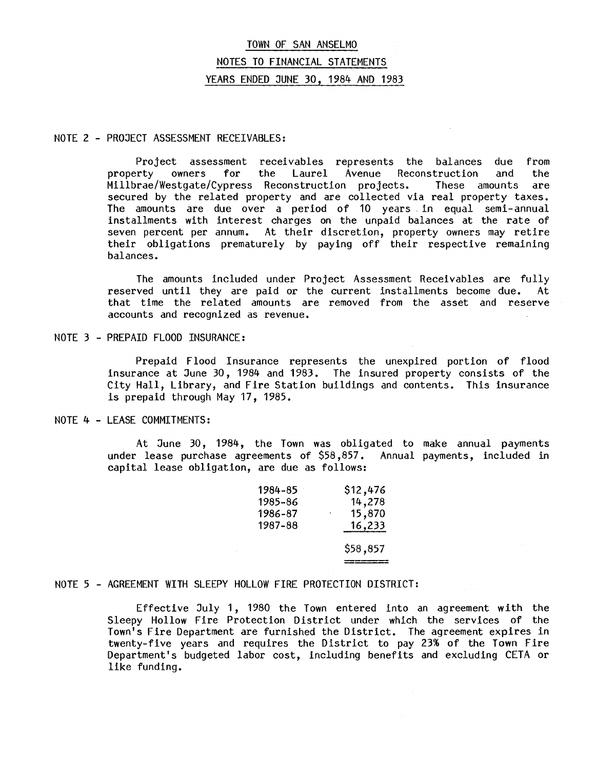## TOWN OF SAN ANSELMO NOTES TO FINANCIAL STATEMENTS YEARS ENDED JUNE 30, 1984 AND 1983

#### NOTE 2 - PROJECT ASSESSMENT RECEIVABLES:

Project assessment receivables represents the balances due from<br>erty owners for the Laurel Avenue Reconstruction and the property owners for the Laurel Avenue Reconstruction and the Millbrae/Westgate/Cypress Reconstruction projects. These amounts are secured by the related property and are collected via real property taxes. The amounts are due over a period of 10 years. in equal semi-annual installments with interest charges on the unpaid balances at the rate of seven percent per annum. At their discretion, property owners may retire their obligations prematurely by paying off their respective remaining balances.

The amounts included under Project Assessment Receivables are fully reserved until they are paid or the current installments become due. At that time the related amounts are removed from the asset and reserve accounts and recognized as revenue.

#### NOTE 3 - PREPAID FLOOD INSURANCE:

Prepaid Flood Insurance represents the unexpired portion of flood insurance at June 30, 1984 and 1983. The insured property consists of the City Hall, Library, and Fire Station buildings and contents. This insurance is prepaid through May 17, 1985.

### NOTE 4 - LEASE COMMITMENTS:

At June 30, 1984, the Town was obligated to make annual payments<br>In lease purchase agreements of \$58,857. Annual payments, included in under lease purchase agreements of  $$58,857$ . capital lease obligation, are due as follows:

| 1984-85 | \$12,476      |
|---------|---------------|
| 1985–86 | 14,278        |
| 1986-87 | 15,870        |
| 1987–88 | <u>16,233</u> |
|         | \$58,857      |

#### NOTE 5 - AGREEMENT WITH SLEEPY HOLLOW FIRE PROTECTION DISTRICT:

Effective July 1, 1980 the Town entered into an agreement with the Sleepy Hollow Fire Protection District under which the services of the Town's Fire Department are furnished the District. The agreement expires in twenty-five years and requires the District to pay 23% of the Town Fire Department's budgeted labor cost, including benefits and excluding CElA or like funding.